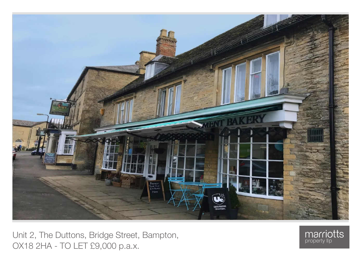

Unit 2, The Duttons, Bridge Street, Bampton, OX18 2HA - TO LET £9,000 p.a.x.